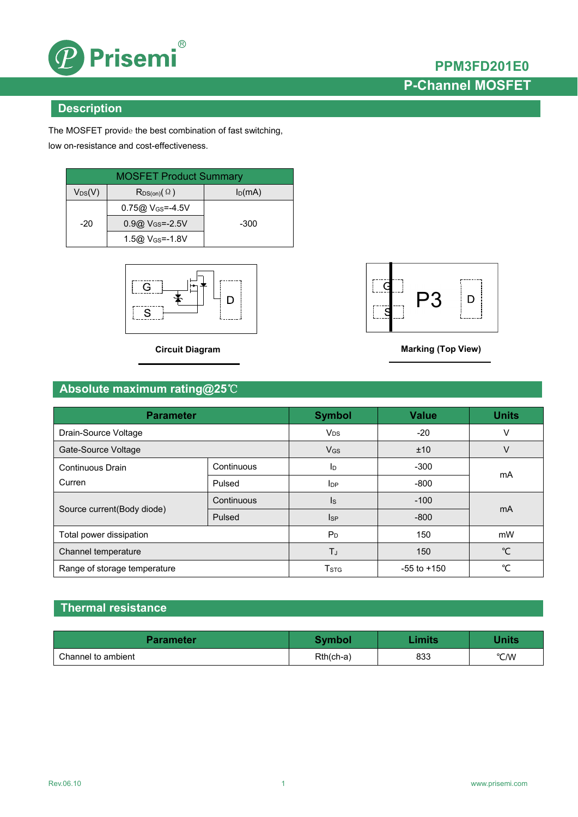

## **PPM3FD201E0 P-Channel MOSFET**

### **Description**

The MOSFET provide the best combination of fast switching, low on-resistance and cost-effectiveness.

| <b>MOSFET Product Summary</b> |                                        |           |  |  |
|-------------------------------|----------------------------------------|-----------|--|--|
| $V_{DS}(V)$                   | $\mathsf{R}_{\mathsf{DS}(on)}(\Omega)$ | $I_D(mA)$ |  |  |
|                               | $0.75@V$ <sub>GS</sub> =-4.5V          |           |  |  |
| $-20$                         | $0.9@V$ <sub>GS</sub> =-2.5V           | $-300$    |  |  |
|                               | $1.5@V$ <sub>GS</sub> =-1.8V           |           |  |  |



**Circuit Diagram** 



**Marking (Top View)** 

## **Absolute maximum rating@25**℃

| <b>Parameter</b>             | <b>Symbol</b>         | <b>Value</b>            | <b>Units</b>    |                |  |
|------------------------------|-----------------------|-------------------------|-----------------|----------------|--|
| Drain-Source Voltage         | <b>V<sub>DS</sub></b> | $-20$                   |                 |                |  |
| Gate-Source Voltage          |                       | $V$ <sub>GS</sub>       | ±10             | v              |  |
| Continuous Drain             | Continuous            | ΙD                      | $-300$          | mA             |  |
| Curren                       | Pulsed                | $I_{DP}$                | $-800$          |                |  |
|                              | Continuous            | $\mathsf{ls}$           | $-100$          | m <sub>A</sub> |  |
| Source current(Body diode)   | Pulsed                | $I_{SP}$                | $-800$          |                |  |
| Total power dissipation      |                       | $P_D$                   | 150             | mW             |  |
| Channel temperature          |                       | TJ                      | 150             | °C             |  |
| Range of storage temperature |                       | <b>T</b> <sub>STG</sub> | $-55$ to $+150$ | ℃              |  |

### **Thermal resistance**

| Parameter          | <b>Symbol</b> | .imits | Units |
|--------------------|---------------|--------|-------|
| Channel to ambient | $Rth(ch-a)$   | 833    | °C/W  |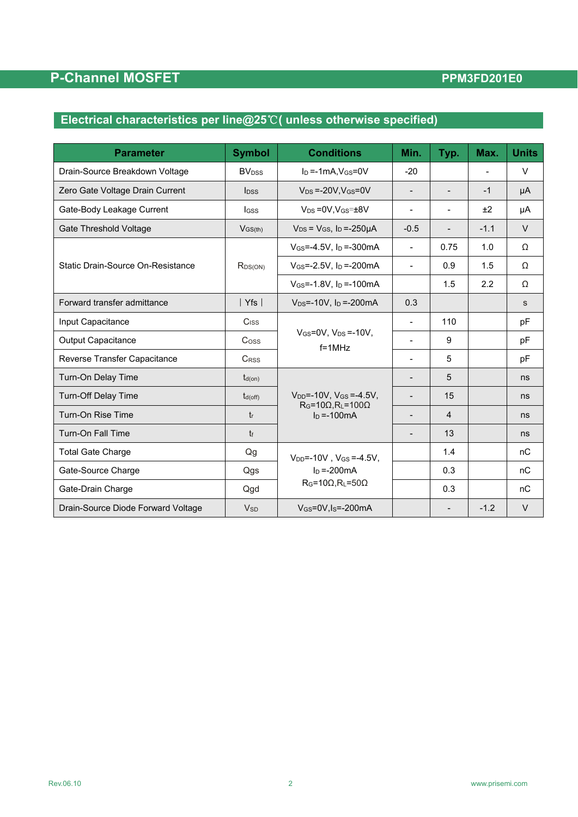# **P-Channel MOSFET**

## **PPM3FD201E0**

# **Electrical characteristics per line@25**℃**( unless otherwise specified)**

| <b>Parameter</b>                   | <b>Symbol</b>            | <b>Conditions</b>                                                         | Min.                     | Typ.                     | Max.   | <b>Units</b> |
|------------------------------------|--------------------------|---------------------------------------------------------------------------|--------------------------|--------------------------|--------|--------------|
| Drain-Source Breakdown Voltage     | <b>BV</b> <sub>DSS</sub> | $\ln$ =-1mA.V $\cos$ =0V                                                  | $-20$                    |                          |        | $\vee$       |
| Zero Gate Voltage Drain Current    | <b>l</b> <sub>DSS</sub>  | $V_{DS} = -20V$ , $V_{GS} = 0V$                                           | $\overline{\phantom{a}}$ | $\overline{\phantom{a}}$ | $-1$   | μA           |
| Gate-Body Leakage Current          | <b>I</b> GSS             | $V_{DS} = 0V, V_{GS} = \pm 8V$                                            | $\overline{\phantom{a}}$ | $\blacksquare$           | ±2     | μA           |
| Gate Threshold Voltage             | $V$ <sub>GS(th)</sub>    | $V_{DS}$ = $V_{GS}$ , $I_D$ =-250 $\mu$ A                                 | $-0.5$                   | $\overline{\phantom{a}}$ | $-1.1$ | $\vee$       |
|                                    | $R_{DS(ON)}$             | $V_{GS} = -4.5V$ , $I_D = -300mA$                                         | $\blacksquare$           | 0.75                     | 1.0    | Ω            |
| Static Drain-Source On-Resistance  |                          | $V_{GS} = -2.5V$ , $I_D = -200mA$                                         | $\blacksquare$           | 0.9                      | 1.5    | Ω            |
|                                    |                          | $V_{GS} = -1.8V$ , $I_D = -100mA$                                         |                          | 1.5                      | 2.2    | Ω            |
| Forward transfer admittance        | Yfs                      | $V_{DS} = -10V$ , $I_D = -200mA$                                          | 0.3                      |                          |        | S            |
| Input Capacitance                  | Ciss                     |                                                                           | $\blacksquare$           | 110                      |        | pF           |
| <b>Output Capacitance</b>          | Coss                     | $V_{GS}=0V$ , $V_{DS}=10V$ ,<br>$f = 1MHz$                                | $\overline{\phantom{a}}$ | 9                        |        | pF           |
| Reverse Transfer Capacitance       | <b>CRSS</b>              |                                                                           |                          | 5                        |        | pF           |
| Turn-On Delay Time                 | $t_{d(on)}$              |                                                                           | $\overline{\phantom{0}}$ | 5                        |        | ns           |
| Turn-Off Delay Time                | $t_{d(\text{off})}$      | $V_{DD} = -10V$ , $V_{GS} = -4.5V$ ,<br>$R_G = 10\Omega, R_L = 100\Omega$ | $\overline{\phantom{a}}$ | 15                       |        | ns           |
| Turn-On Rise Time                  | $t_{r}$                  | $In = -100mA$                                                             | $\overline{\phantom{0}}$ | $\overline{4}$           |        | ns           |
| <b>Turn-On Fall Time</b>           | $t_{f}$                  |                                                                           |                          | 13                       |        | ns           |
| <b>Total Gate Charge</b>           | Qg                       | $V_{DD}$ =-10V, $V_{GS}$ =-4.5V,                                          |                          | 1.4                      |        | nC           |
| Gate-Source Charge                 | Qgs                      | $In = -200mA$                                                             |                          | 0.3                      |        | nC           |
| Gate-Drain Charge                  | Qgd                      | $R_G = 10\Omega, R_L = 50\Omega$                                          |                          | 0.3                      |        | nC           |
| Drain-Source Diode Forward Voltage | <b>V<sub>sp</sub></b>    | $V$ <sub>GS</sub> =0V, I <sub>S</sub> =-200mA                             |                          | $\overline{\phantom{a}}$ | $-1.2$ | $\vee$       |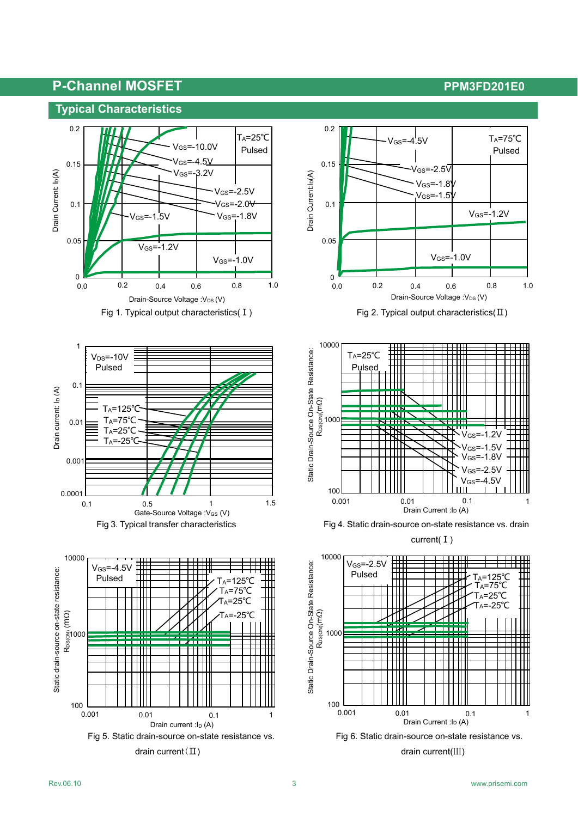













current(I)



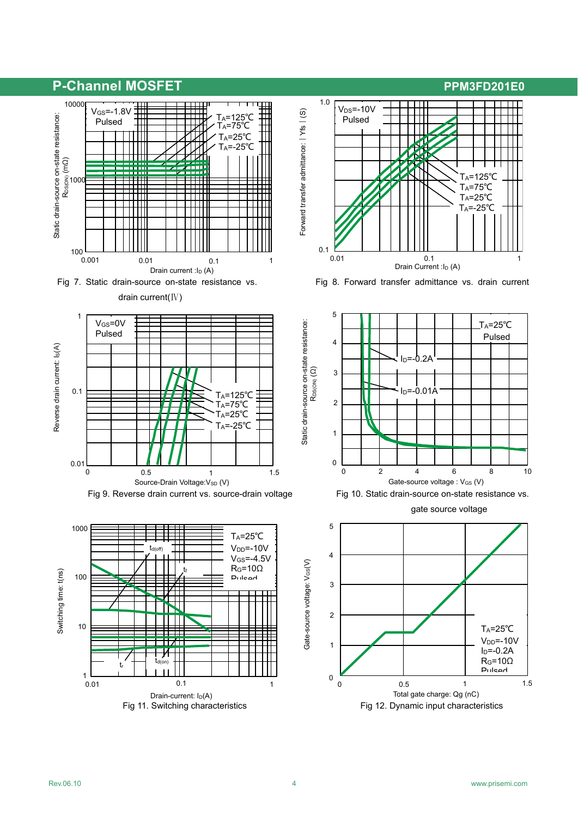















gate source voltage

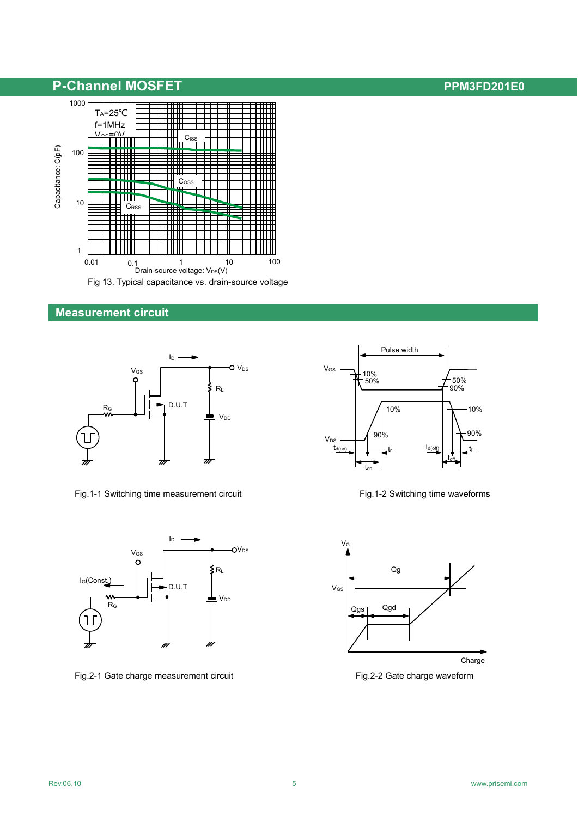

### **Measurement circuit**



Fig.1-1 Switching time measurement circuit Fig.1-2 Switching time waveforms



Fig.2-1 Gate charge measurement circuit Fig.2-2 Gate charge waveform



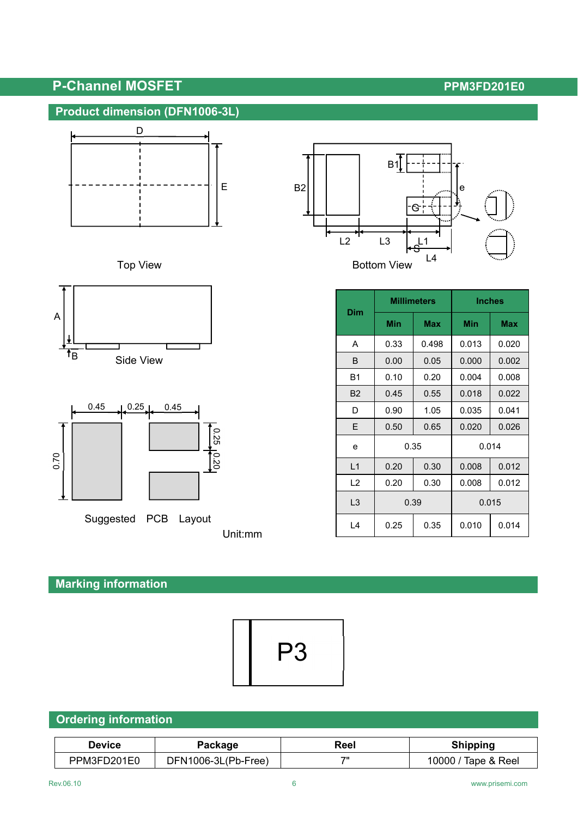### **Product dimension (DFN1006-3L)**



### Top View





Suggested PCB Layout

Unit:mm

### $B1$ B2 e Ļ.  $G^!$  $L2$   $L3$   $L1$ S L4 Bottom View

| Dim       | <b>Millimeters</b> |       | <b>Inches</b> |            |
|-----------|--------------------|-------|---------------|------------|
|           | <b>Min</b>         | Max   | <b>Min</b>    | <b>Max</b> |
| A         | 0.33               | 0.498 | 0.013         | 0.020      |
| B         | 0.00               | 0.05  | 0.000         | 0.002      |
| <b>B1</b> | 0.10               | 0.20  | 0.004         | 0.008      |
| <b>B2</b> | 0.45               | 0.55  | 0.018         | 0.022      |
| D         | 0.90               | 1.05  | 0.035         | 0.041      |
| E         | 0.50               | 0.65  | 0.020         | 0.026      |
| e         | 0.35               |       | 0.014         |            |
| L1        | 0.20               | 0.30  | 0.008         | 0.012      |
| L2        | 0.20               | 0.30  | 0.008         | 0.012      |
| L3        | 0.39               |       | 0.015         |            |
| L4        | 0.25               | 0.35  | 0.010         | 0.014      |

# **Marking information**



## **Ordering information**

| Device      | Package             | Reel | <b>Shipping</b>     |
|-------------|---------------------|------|---------------------|
| PPM3FD201E0 | DFN1006-3L(Pb-Free) | 711  | 10000 / Tape & Reel |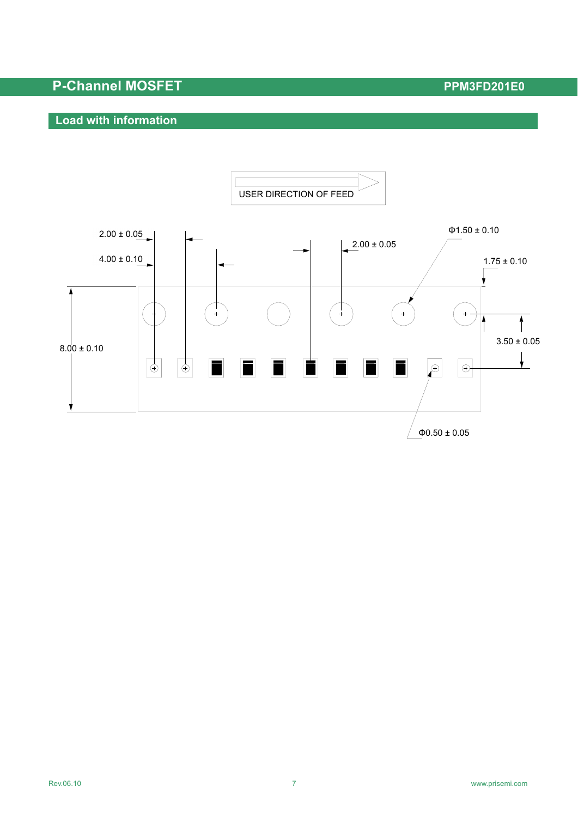### **Load with information**